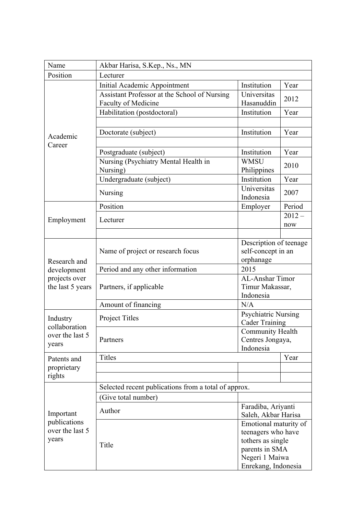| Name                                                  | Akbar Harisa, S.Kep., Ns., MN                                       |                                             |          |  |
|-------------------------------------------------------|---------------------------------------------------------------------|---------------------------------------------|----------|--|
| Position                                              | Lecturer                                                            |                                             |          |  |
| Academic<br>Career                                    | Initial Academic Appointment                                        | Institution                                 | Year     |  |
|                                                       | Assistant Professor at the School of Nursing<br>Faculty of Medicine | Universitas<br>Hasanuddin                   | 2012     |  |
|                                                       | Habilitation (postdoctoral)                                         | Institution                                 | Year     |  |
|                                                       |                                                                     |                                             |          |  |
|                                                       | Doctorate (subject)                                                 | Institution                                 | Year     |  |
|                                                       |                                                                     |                                             |          |  |
|                                                       | Postgraduate (subject)                                              | Institution                                 | Year     |  |
|                                                       | Nursing (Psychiatry Mental Health in<br>Nursing)                    | <b>WMSU</b><br>Philippines                  | 2010     |  |
|                                                       | Undergraduate (subject)                                             | Institution                                 | Year     |  |
|                                                       | Nursing                                                             | Universitas<br>Indonesia                    | 2007     |  |
|                                                       | Position                                                            | Employer                                    | Period   |  |
|                                                       |                                                                     |                                             | $2012 -$ |  |
| Employment                                            | Lecturer                                                            |                                             | now      |  |
|                                                       |                                                                     |                                             |          |  |
|                                                       | Name of project or research focus                                   | Description of teenage                      |          |  |
|                                                       |                                                                     | self-concept in an                          |          |  |
| Research and<br>development                           | Period and any other information                                    | orphanage<br>2015                           |          |  |
| projects over                                         |                                                                     | AL-Anshar Timor                             |          |  |
| the last 5 years                                      | Partners, if applicable                                             | Timur Makassar,                             |          |  |
|                                                       |                                                                     | Indonesia                                   |          |  |
|                                                       | Amount of financing                                                 | N/A                                         |          |  |
| Industry<br>collaboration<br>over the last 5<br>years | Project Titles                                                      | <b>Psychiatric Nursing</b>                  |          |  |
|                                                       |                                                                     | <b>Cader Training</b>                       |          |  |
|                                                       | Partners                                                            | <b>Community Health</b><br>Centres Jongaya, |          |  |
|                                                       |                                                                     | Indonesia                                   |          |  |
| Patents and<br>proprietary<br>rights                  | <b>Titles</b>                                                       |                                             | Year     |  |
|                                                       |                                                                     |                                             |          |  |
|                                                       |                                                                     |                                             |          |  |
|                                                       | Selected recent publications from a total of approx.                |                                             |          |  |
| Important<br>publications<br>over the last 5<br>years | (Give total number)                                                 |                                             |          |  |
|                                                       | Author                                                              | Faradiba, Ariyanti                          |          |  |
|                                                       |                                                                     | Saleh, Akbar Harisa                         |          |  |
|                                                       | Title                                                               | Emotional maturity of                       |          |  |
|                                                       |                                                                     | teenagers who have<br>tothers as single     |          |  |
|                                                       |                                                                     | parents in SMA                              |          |  |
|                                                       |                                                                     | Negeri 1 Maiwa                              |          |  |
|                                                       |                                                                     | Enrekang, Indonesia                         |          |  |